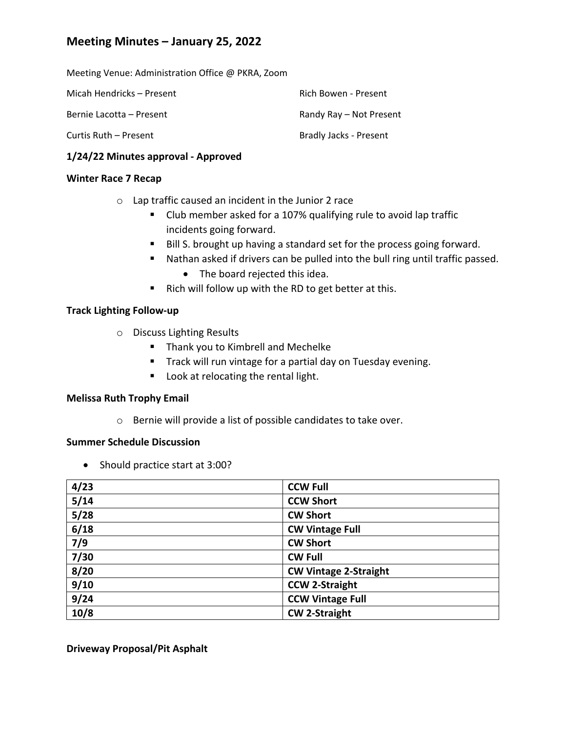# **Meeting Minutes – January 25, 2022**

Meeting Venue: Administration Office @ PKRA, Zoom

| Micah Hendricks – Present | Rich Bowen - Present    |
|---------------------------|-------------------------|
| Bernie Lacotta – Present  | Randy Ray – Not Present |
| Curtis Ruth – Present     | Bradly Jacks - Present  |

### **1/24/22 Minutes approval ‐ Approved**

#### **Winter Race 7 Recap**

- o Lap traffic caused an incident in the Junior 2 race
	- Club member asked for a 107% qualifying rule to avoid lap traffic incidents going forward.
	- Bill S. brought up having a standard set for the process going forward.
	- Nathan asked if drivers can be pulled into the bull ring until traffic passed.
		- The board rejected this idea.
	- Rich will follow up with the RD to get better at this.

### **Track Lighting Follow‐up**

- o Discuss Lighting Results
	- Thank you to Kimbrell and Mechelke
	- **Track will run vintage for a partial day on Tuesday evening.**
	- **Look at relocating the rental light.**

### **Melissa Ruth Trophy Email**

o Bernie will provide a list of possible candidates to take over.

## **Summer Schedule Discussion**

• Should practice start at 3:00?

| 4/23 | <b>CCW Full</b>              |
|------|------------------------------|
| 5/14 | <b>CCW Short</b>             |
| 5/28 | <b>CW Short</b>              |
| 6/18 | <b>CW Vintage Full</b>       |
| 7/9  | <b>CW Short</b>              |
| 7/30 | <b>CW Full</b>               |
| 8/20 | <b>CW Vintage 2-Straight</b> |
| 9/10 | <b>CCW 2-Straight</b>        |
| 9/24 | <b>CCW Vintage Full</b>      |
| 10/8 | <b>CW 2-Straight</b>         |

**Driveway Proposal/Pit Asphalt**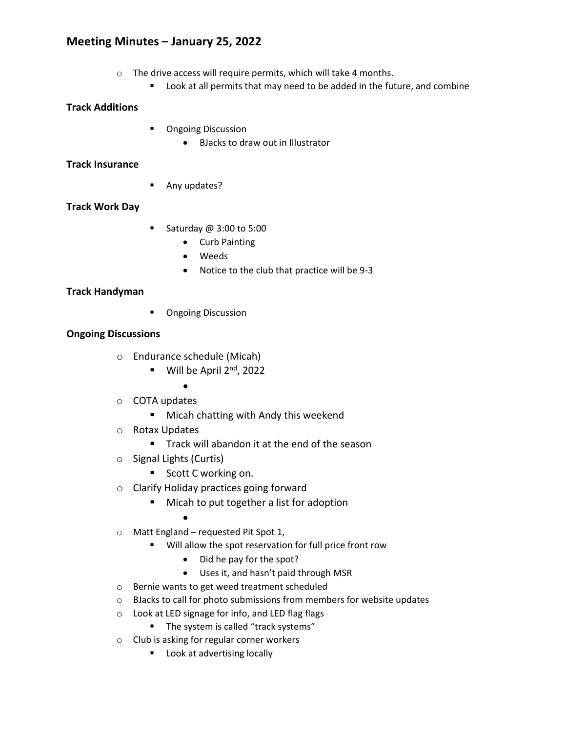# **Meeting Minutes – January 25, 2022**

- o The drive access will require permits, which will take 4 months.
	- **Look at all permits that may need to be added in the future, and combine**

## **Track Additions**

- **•** Ongoing Discussion
	- BJacks to draw out in Illustrator

## **Track Insurance**

**Any updates?** 

# **Track Work Day**

- Saturday  $@$  3:00 to 5:00
	- Curb Painting
	- Weeds
	- Notice to the club that practice will be 9-3

# **Track Handyman**

**•** Ongoing Discussion

### **Ongoing Discussions**

- o Endurance schedule (Micah)
	- $\blacksquare$  Will be April 2<sup>nd</sup>, 2022
		- $\bullet$
- o COTA updates
	- **Micah chatting with Andy this weekend**
- o Rotax Updates
	- **Track will abandon it at the end of the season**
- o Signal Lights (Curtis)
	- Scott C working on.
- o Clarify Holiday practices going forward
	- **Micah to put together a list for adoption** 
		- $\bullet$
- o Matt England requested Pit Spot 1,
	- Will allow the spot reservation for full price front row
		- Did he pay for the spot?
		- Uses it, and hasn't paid through MSR
- o Bernie wants to get weed treatment scheduled
- o BJacks to call for photo submissions from members for website updates
- o Look at LED signage for info, and LED flag flags
	- The system is called "track systems"
- o Club is asking for regular corner workers
	- **Look at advertising locally**